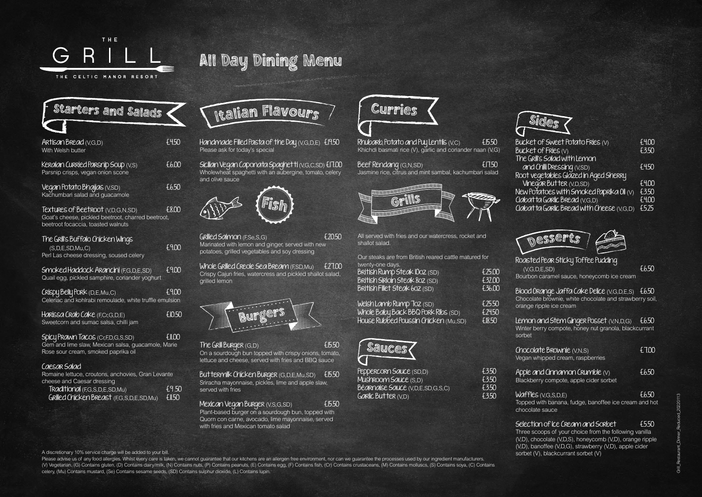

| £450                                                                |
|---------------------------------------------------------------------|
| £6.00                                                               |
| £6.50                                                               |
| £8.00<br>Goat's cheese, pickled beetroot, charred beetroot,         |
| £9.00                                                               |
| £9.00                                                               |
| £9.00<br>Celeriac and kohlrabi remoulade, white truffle emulsion    |
| <b>£10.50</b>                                                       |
| <b>EII.00</b><br>Gem and lime slaw, Mexican salsa, guacamole, Marie |
| Romaine lettuce, croutons, anchovies, Gran Levante                  |
| £9.50<br><b>£11.50</b>                                              |
|                                                                     |

Sicilian Vegan Caponata Spaghetti (V,G,C,SD) £17.00 Wholewheat spaghetti with an aubergine, tomato, celery and olive sauce

Whole Grilled Creole Sea Bream (FSD, Mu)  $\sim$  £27.00 Crispy Cajun fries, watercress and pickled shallot salad, grilled lemon

The Grill Burger (G,D) E15.50 On a sourdough bun topped with crispy onions, tomato, lettuce and cheese, served with fries and BBQ sauce

Buttermilk Chicken Burger (G,D,E,Mu,SD) £15.50 Sriracha mayonnaise, pickles, lime and apple slaw, served with fries

Mexican Vegan Burger (V,S,G,SD) El 550 Plant-based burger on a sourdough bun, topped with Quorn con carne, avocado, lime mayonnaise, served with fries and Mexican tomato salad

### <sup>I</sup>talia<sup>n</sup> <sup>F</sup>lavour<sup>s</sup>

Rhubarb, Potato and Puy Lentils  $(V,C)$   $E15.50$ Khichdi basmati rice (V), garlic and coriander naan (V,G)

Handmade Filled Pasta of the Day (V,G,D,E) £19.50 Please ask for today's special



Grilled Salmon (F,Se,S,G) £20.50 Marinated with lemon and ginger, served with new potatoes, grilled vegetables and soy dressing



Blood Orange Jaffa Cake Delice (V,G,D,E,S) £6.50 Chocolate brownie, white chocolate and strawberry soil, orange ripple ice cream

Lemon and Stem Ginger Posset (V, N, D, G)  $\pm 6.50$ Winter berry compote, honey nut granola, blackcurrant sorbet

Apple and Cinnamon Crumble  $(v)$   $Eb.50$ Blackberry compote, apple cider sorbet

> Grill\_Restaurant\_Dinner\_Reduced\_20220113 ā.

 $W$ affles ( $V$ ,  $G$ ,  $S$ ,  $D$ ,  $E$ )  $E$   $6.50$ Topped with banana, fudge, banoffee ice cream and hot chocolate sauce

Selection of Ice Cream and Sorbet  $= 550$ Three scoops of your choice from the following vanilla (V,D), chocolate (V,D,S), honeycomb (V,D), orange ripple (V,D), banoffee (V,D,G), strawberry (V,D), apple cider sorbet (V), blackcurrant sorbet (V)





The G

Beef Rendang (G,N,SD) £17.50 Jasmine rice, citrus and mint sambal, kachumbari salad



All served with fries and our watercress, rocket and

Please advise us of any food allergies. Whilst every care is taken, we cannot guarantee that our kitchens are an allergen free environment, nor can we guarantee the processes used by our ingredient manufacturers. (V) Vegetarian, (G) Contains gluten, (D) Contains dairy/milk, (N) Contains nuts, (P) Contains peanuts, (E) Contains egg, (F) Contains fish, (Cr) Contains crustaceans, (M) Contains molluscs, (S) Contains soya, (C) Contains celery, (Mu) Contains mustard, (Se) Contains sesame seeds, (SD) Contains sulphur dioxide, (L) Contains lupin.

| shallot salad.                                                                                         |                                   |
|--------------------------------------------------------------------------------------------------------|-----------------------------------|
| Our steaks are from British reared cattle matured for<br>twenty-one days.                              |                                   |
| British Rump Steak 1002 (SD)<br><b>British Sirloin Steak 802</b> (SD)<br>British Fillet Steak 602 (SD) | £25.00<br>£32.00<br>£36.00        |
| Welsh Lamb Rump Toz (SD)<br>Whole Baby Back BBQ Pork Ribs (SD)<br>House Rubbed Poussin Chicken (Mu,SD) | £25.50<br>£24.50<br><b>£18.50</b> |



Peppercorn Sauce (SD,D) [3.50]<br>Mushroom Sauce (S.D) [3.50] Mushroom Sauce (S,D) Béarnaise Sauce (V,D,E,SD,G,S,C) £3.50  $G$ *aric Butter (V,D)* 

| S<br>z. | ÆС     | 15    |  |
|---------|--------|-------|--|
|         | للمحمد | na po |  |
|         |        |       |  |
|         |        |       |  |

| Bucket of Sweet Potato Fries (V)          | £4.00 |
|-------------------------------------------|-------|
| Bucket of Fries (V)                       | £3.50 |
| The Grill's Salad with Lemon              |       |
| and Chilli Dressing (V,SD)                | £4.50 |
| Root vegetables Glazed in Aged Sherry     |       |
| Vinegar Butter (V, D, SD)                 | £4.00 |
| New Potatoes with Smoked Paprika Oil (v)  | £3.50 |
| Clabatta Garlic Bread (V,G,D)             | £4.00 |
| Clabatta Garlic Bread with Cheese (V,G,D) | £5.25 |
|                                           |       |





#### Roasted Pear Sticky Toffee Pudding  $(V. G. D. E. SD)$   $\begin{bmatrix} 6.50 \\ -1.50 \end{bmatrix}$ Bourbon caramel sauce, honeycomb ice cream

Chocolate Brownie (V,N,S) £7.00 Vegan whipped cream, raspberries



# All Day Dining Menu

A discretionary 10% service charge will be added to your bill.